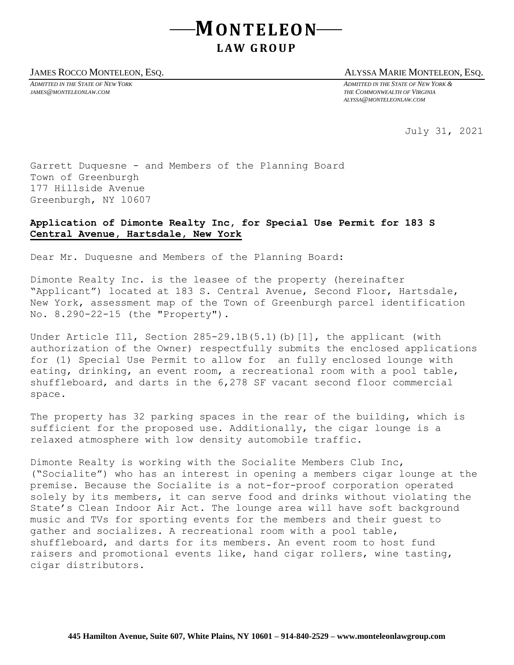## **MONTELEON L AW G R O U P**

## JAMES ROCCO MONTELEON, ESQ. ALYSSA MARIE MONTELEON, ESQ.

*ADMITTED IN THE STATE OF NEW YORK ADMITTED IN THE STATE OF NEW YORK & JAMES@MONTELEONLAW.COM THE COMMONWEALTH OF VIRGINIA ALYSSA@MONTELEONLAW.COM*

July 31, 2021

Garrett Duquesne - and Members of the Planning Board Town of Greenburgh 177 Hillside Avenue Greenburgh, NY l0607

## **Application of Dimonte Realty Inc, for Special Use Permit for 183 S Central Avenue, Hartsdale, New York**

Dear Mr. Duquesne and Members of the Planning Board:

Dimonte Realty Inc. is the leasee of the property (hereinafter "Applicant") located at 183 S. Central Avenue, Second Floor, Hartsdale, New York, assessment map of the Town of Greenburgh parcel identification No. 8.290-22-15 (the "Property").

Under Article Ill, Section 285-29.1B(5.1)(b)[1], the applicant (with authorization of the Owner) respectfully submits the enclosed applications for (1) Special Use Permit to allow for an fully enclosed lounge with eating, drinking, an event room, a recreational room with a pool table, shuffleboard, and darts in the 6,278 SF vacant second floor commercial space.

The property has 32 parking spaces in the rear of the building, which is sufficient for the proposed use. Additionally, the cigar lounge is a relaxed atmosphere with low density automobile traffic.

Dimonte Realty is working with the Socialite Members Club Inc, ("Socialite") who has an interest in opening a members cigar lounge at the premise. Because the Socialite is a not-for-proof corporation operated solely by its members, it can serve food and drinks without violating the State's Clean Indoor Air Act. The lounge area will have soft background music and TVs for sporting events for the members and their guest to gather and socializes. A recreational room with a pool table, shuffleboard, and darts for its members. An event room to host fund raisers and promotional events like, hand cigar rollers, wine tasting, cigar distributors.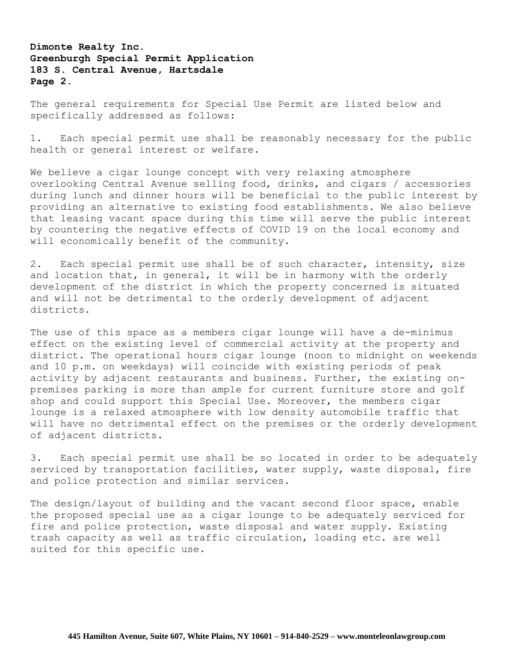**Dimonte Realty Inc. Greenburgh Special Permit Application 183 S. Central Avenue, Hartsdale Page 2.**

The general requirements for Special Use Permit are listed below and specifically addressed as follows:

1. Each special permit use shall be reasonably necessary for the public health or general interest or welfare.

We believe a cigar lounge concept with very relaxing atmosphere overlooking Central Avenue selling food, drinks, and cigars / accessories during lunch and dinner hours will be beneficial to the public interest by providing an alternative to existing food establishments. We also believe that leasing vacant space during this time will serve the public interest by countering the negative effects of COVID 19 on the local economy and will economically benefit of the community.

2. Each special permit use shall be of such character, intensity, size and location that, in general, it will be in harmony with the orderly development of the district in which the property concerned is situated and will not be detrimental to the orderly development of adjacent districts.

The use of this space as a members cigar lounge will have a de-minimus effect on the existing level of commercial activity at the property and district. The operational hours cigar lounge (noon to midnight on weekends and 10 p.m. on weekdays) will coincide with existing periods of peak activity by adjacent restaurants and business. Further, the existing onpremises parking is more than ample for current furniture store and golf shop and could support this Special Use. Moreover, the members cigar lounge is a relaxed atmosphere with low density automobile traffic that will have no detrimental effect on the premises or the orderly development of adjacent districts.

3. Each special permit use shall be so located in order to be adequately serviced by transportation facilities, water supply, waste disposal, fire and police protection and similar services.

The design/layout of building and the vacant second floor space, enable the proposed special use as a cigar lounge to be adequately serviced for fire and police protection, waste disposal and water supply. Existing trash capacity as well as traffic circulation, loading etc. are well suited for this specific use.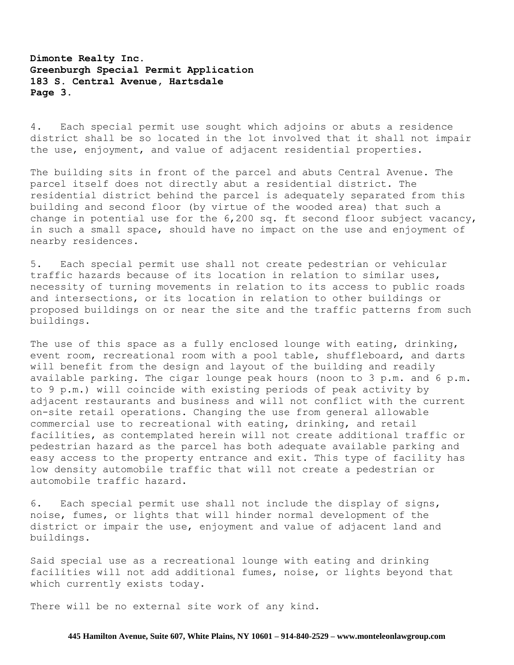## **Dimonte Realty Inc. Greenburgh Special Permit Application 183 S. Central Avenue, Hartsdale Page 3.**

4. Each special permit use sought which adjoins or abuts a residence district shall be so located in the lot involved that it shall not impair the use, enjoyment, and value of adjacent residential properties.

The building sits in front of the parcel and abuts Central Avenue. The parcel itself does not directly abut a residential district. The residential district behind the parcel is adequately separated from this building and second floor (by virtue of the wooded area) that such a change in potential use for the 6,200 sq. ft second floor subject vacancy, in such a small space, should have no impact on the use and enjoyment of nearby residences.

5. Each special permit use shall not create pedestrian or vehicular traffic hazards because of its location in relation to similar uses, necessity of turning movements in relation to its access to public roads and intersections, or its location in relation to other buildings or proposed buildings on or near the site and the traffic patterns from such buildings.

The use of this space as a fully enclosed lounge with eating, drinking, event room, recreational room with a pool table, shuffleboard, and darts will benefit from the design and layout of the building and readily available parking. The cigar lounge peak hours (noon to 3 p.m. and 6 p.m. to 9 p.m.) will coincide with existing periods of peak activity by adjacent restaurants and business and will not conflict with the current on-site retail operations. Changing the use from general allowable commercial use to recreational with eating, drinking, and retail facilities, as contemplated herein will not create additional traffic or pedestrian hazard as the parcel has both adequate available parking and easy access to the property entrance and exit. This type of facility has low density automobile traffic that will not create a pedestrian or automobile traffic hazard.

6. Each special permit use shall not include the display of signs, noise, fumes, or lights that will hinder normal development of the district or impair the use, enjoyment and value of adjacent land and buildings.

Said special use as a recreational lounge with eating and drinking facilities will not add additional fumes, noise, or lights beyond that which currently exists today.

There will be no external site work of any kind.